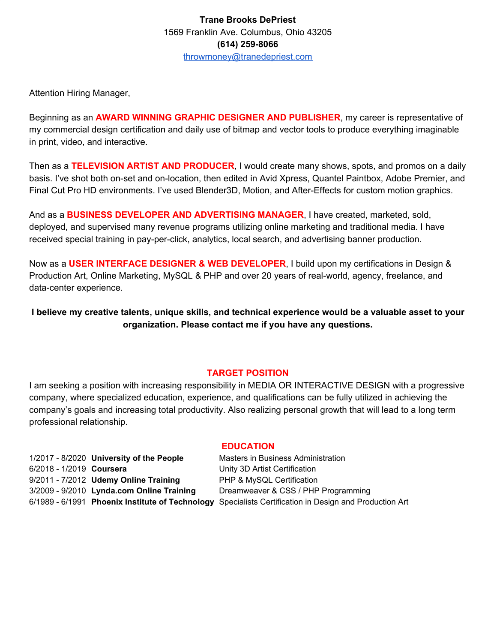Attention Hiring Manager,

Beginning as an **AWARD WINNING GRAPHIC DESIGNER AND PUBLISHER**, my career is representative of my commercial design certification and daily use of bitmap and vector tools to produce everything imaginable in print, video, and interactive.

Then as a **TELEVISION ARTIST AND PRODUCER**, I would create many shows, spots, and promos on a daily basis. I've shot both on-set and on-location, then edited in Avid Xpress, Quantel Paintbox, Adobe Premier, and Final Cut Pro HD environments. I've used Blender3D, Motion, and After-Effects for custom motion graphics.

And as a **BUSINESS DEVELOPER AND ADVERTISING MANAGER**, I have created, marketed, sold, deployed, and supervised many revenue programs utilizing online marketing and traditional media. I have received special training in pay-per-click, analytics, local search, and advertising banner production.

Now as a **USER INTERFACE DESIGNER & WEB DEVELOPER**, I build upon my certifications in Design & Production Art, Online Marketing, MySQL & PHP and over 20 years of real-world, agency, freelance, and data-center experience.

**I believe my creative talents, unique skills, and technical experience would be a valuable asset to your organization. Please contact me if you have any questions.**

## **TARGET POSITION**

I am seeking a position with increasing responsibility in MEDIA OR INTERACTIVE DESIGN with a progressive company, where specialized education, experience, and qualifications can be fully utilized in achieving the company's goals and increasing total productivity. Also realizing personal growth that will lead to a long term professional relationship.

1/2017 - 8/2020 **University of the People** Masters in Business Administration 6/2018 - 1/2019 **Coursera** Unity 3D Artist Certification 9/2011 - 7/2012 **Udemy Online Training** PHP & MySQL Certification 3/2009 - 9/2010 **Lynda.com Online Training** Dreamweaver & CSS / PHP Programming

#### **EDUCATION**

6/1989 - 6/1991 **Phoenix Institute of Technology** Specialists Certification in Design and Production Art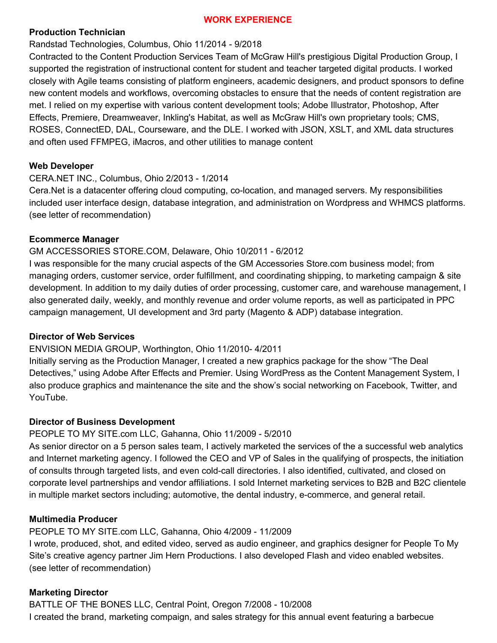### **WORK EXPERIENCE**

### **Production Technician**

## Randstad Technologies, Columbus, Ohio 11/2014 - 9/2018

Contracted to the Content Production Services Team of McGraw Hill's prestigious Digital Production Group, I supported the registration of instructional content for student and teacher targeted digital products. I worked closely with Agile teams consisting of platform engineers, academic designers, and product sponsors to define new content models and workflows, overcoming obstacles to ensure that the needs of content registration are met. I relied on my expertise with various content development tools; Adobe Illustrator, Photoshop, After Effects, Premiere, Dreamweaver, Inkling's Habitat, as well as McGraw Hill's own proprietary tools; CMS, ROSES, ConnectED, DAL, Courseware, and the DLE. I worked with JSON, XSLT, and XML data structures and often used FFMPEG, iMacros, and other utilities to manage content

#### **Web Developer**

## CERA.NET INC., Columbus, Ohio 2/2013 - 1/2014

Cera.Net is a datacenter offering cloud computing, co-location, and managed servers. My responsibilities included user interface design, database integration, and administration on Wordpress and WHMCS platforms. (see letter of recommendation)

### **Ecommerce Manager**

### GM ACCESSORIES STORE.COM, Delaware, Ohio 10/2011 - 6/2012

I was responsible for the many crucial aspects of the GM Accessories Store.com business model; from managing orders, customer service, order fulfillment, and coordinating shipping, to marketing campaign & site development. In addition to my daily duties of order processing, customer care, and warehouse management, I also generated daily, weekly, and monthly revenue and order volume reports, as well as participated in PPC campaign management, UI development and 3rd party (Magento & ADP) database integration.

#### **Director of Web Services**

## ENVISION MEDIA GROUP, Worthington, Ohio 11/2010- 4/2011

Initially serving as the Production Manager, I created a new graphics package for the show "The Deal Detectives," using Adobe After Effects and Premier. Using WordPress as the Content Management System, I also produce graphics and maintenance the site and the show's social networking on Facebook, Twitter, and YouTube.

#### **Director of Business Development**

# PEOPLE TO MY SITE.com LLC, Gahanna, Ohio 11/2009 - 5/2010

As senior director on a 5 person sales team, I actively marketed the services of the a successful web analytics and Internet marketing agency. I followed the CEO and VP of Sales in the qualifying of prospects, the initiation of consults through targeted lists, and even cold-call directories. I also identified, cultivated, and closed on corporate level partnerships and vendor affiliations. I sold Internet marketing services to B2B and B2C clientele in multiple market sectors including; automotive, the dental industry, e-commerce, and general retail.

## **Multimedia Producer**

PEOPLE TO MY SITE.com LLC, Gahanna, Ohio 4/2009 - 11/2009

I wrote, produced, shot, and edited video, served as audio engineer, and graphics designer for People To My Site's creative agency partner Jim Hern Productions. I also developed Flash and video enabled websites. (see letter of recommendation)

# **Marketing Director**

BATTLE OF THE BONES LLC, Central Point, Oregon 7/2008 - 10/2008 I created the brand, marketing compaign, and sales strategy for this annual event featuring a barbecue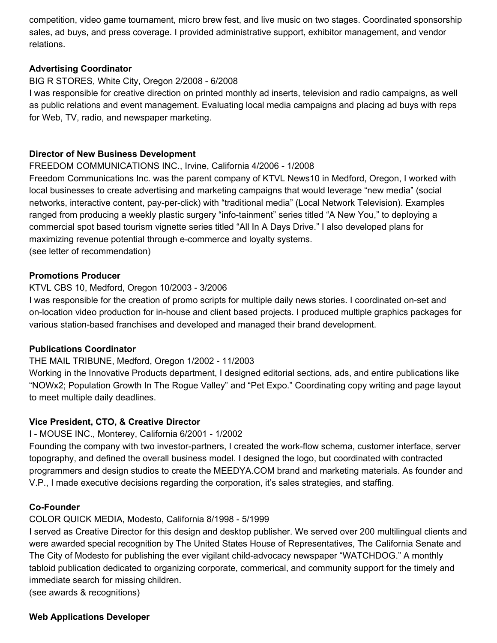competition, video game tournament, micro brew fest, and live music on two stages. Coordinated sponsorship sales, ad buys, and press coverage. I provided administrative support, exhibitor management, and vendor relations.

## **Advertising Coordinator**

## BIG R STORES, White City, Oregon 2/2008 - 6/2008

I was responsible for creative direction on printed monthly ad inserts, television and radio campaigns, as well as public relations and event management. Evaluating local media campaigns and placing ad buys with reps for Web, TV, radio, and newspaper marketing.

## **Director of New Business Development**

## FREEDOM COMMUNICATIONS INC., Irvine, California 4/2006 - 1/2008

Freedom Communications Inc. was the parent company of KTVL News10 in Medford, Oregon, I worked with local businesses to create advertising and marketing campaigns that would leverage "new media" (social networks, interactive content, pay-per-click) with "traditional media" (Local Network Television). Examples ranged from producing a weekly plastic surgery "info-tainment" series titled "A New You," to deploying a commercial spot based tourism vignette series titled "All In A Days Drive." I also developed plans for maximizing revenue potential through e-commerce and loyalty systems. (see letter of recommendation)

## **Promotions Producer**

## KTVL CBS 10, Medford, Oregon 10/2003 - 3/2006

I was responsible for the creation of promo scripts for multiple daily news stories. I coordinated on-set and on-location video production for in-house and client based projects. I produced multiple graphics packages for various station-based franchises and developed and managed their brand development.

## **Publications Coordinator**

## THE MAIL TRIBUNE, Medford, Oregon 1/2002 - 11/2003

Working in the Innovative Products department, I designed editorial sections, ads, and entire publications like "NOWx2; Population Growth In The Rogue Valley" and "Pet Expo." Coordinating copy writing and page layout to meet multiple daily deadlines.

## **Vice President, CTO, & Creative Director**

## I - MOUSE INC., Monterey, California 6/2001 - 1/2002

Founding the company with two investor-partners, I created the work-flow schema, customer interface, server topography, and defined the overall business model. I designed the logo, but coordinated with contracted programmers and design studios to create the MEEDYA.COM brand and marketing materials. As founder and V.P., I made executive decisions regarding the corporation, it's sales strategies, and staffing.

## **Co-Founder**

## COLOR QUICK MEDIA, Modesto, California 8/1998 - 5/1999

I served as Creative Director for this design and desktop publisher. We served over 200 multilingual clients and were awarded special recognition by The United States House of Representatives, The California Senate and The City of Modesto for publishing the ever vigilant child-advocacy newspaper "WATCHDOG." A monthly tabloid publication dedicated to organizing corporate, commerical, and community support for the timely and immediate search for missing children.

(see awards & recognitions)

## **Web Applications Developer**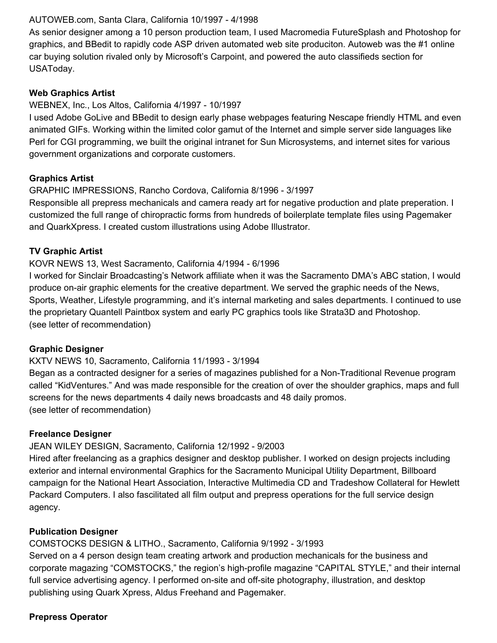### AUTOWEB.com, Santa Clara, California 10/1997 - 4/1998

As senior designer among a 10 person production team, I used Macromedia FutureSplash and Photoshop for graphics, and BBedit to rapidly code ASP driven automated web site produciton. Autoweb was the #1 online car buying solution rivaled only by Microsoft's Carpoint, and powered the auto classifieds section for USAToday.

#### **Web Graphics Artist**

### WEBNEX, Inc., Los Altos, California 4/1997 - 10/1997

I used Adobe GoLive and BBedit to design early phase webpages featuring Nescape friendly HTML and even animated GIFs. Working within the limited color gamut of the Internet and simple server side languages like Perl for CGI programming, we built the original intranet for Sun Microsystems, and internet sites for various government organizations and corporate customers.

### **Graphics Artist**

### GRAPHIC IMPRESSIONS, Rancho Cordova, California 8/1996 - 3/1997

Responsible all prepress mechanicals and camera ready art for negative production and plate preperation. I customized the full range of chiropractic forms from hundreds of boilerplate template files using Pagemaker and QuarkXpress. I created custom illustrations using Adobe Illustrator.

### **TV Graphic Artist**

### KOVR NEWS 13, West Sacramento, California 4/1994 - 6/1996

I worked for Sinclair Broadcasting's Network affiliate when it was the Sacramento DMA's ABC station, I would produce on-air graphic elements for the creative department. We served the graphic needs of the News, Sports, Weather, Lifestyle programming, and it's internal marketing and sales departments. I continued to use the proprietary Quantell Paintbox system and early PC graphics tools like Strata3D and Photoshop. (see letter of recommendation)

#### **Graphic Designer**

## KXTV NEWS 10, Sacramento, California 11/1993 - 3/1994

Began as a contracted designer for a series of magazines published for a Non-Traditional Revenue program called "KidVentures." And was made responsible for the creation of over the shoulder graphics, maps and full screens for the news departments 4 daily news broadcasts and 48 daily promos. (see letter of recommendation)

#### **Freelance Designer**

## JEAN WILEY DESIGN, Sacramento, California 12/1992 - 9/2003

Hired after freelancing as a graphics designer and desktop publisher. I worked on design projects including exterior and internal environmental Graphics for the Sacramento Municipal Utility Department, Billboard campaign for the National Heart Association, Interactive Multimedia CD and Tradeshow Collateral for Hewlett Packard Computers. I also fascilitated all film output and prepress operations for the full service design agency.

## **Publication Designer**

## COMSTOCKS DESIGN & LITHO., Sacramento, California 9/1992 - 3/1993

Served on a 4 person design team creating artwork and production mechanicals for the business and corporate magazing "COMSTOCKS," the region's high-profile magazine "CAPITAL STYLE," and their internal full service advertising agency. I performed on-site and off-site photography, illustration, and desktop publishing using Quark Xpress, Aldus Freehand and Pagemaker.

## **Prepress Operator**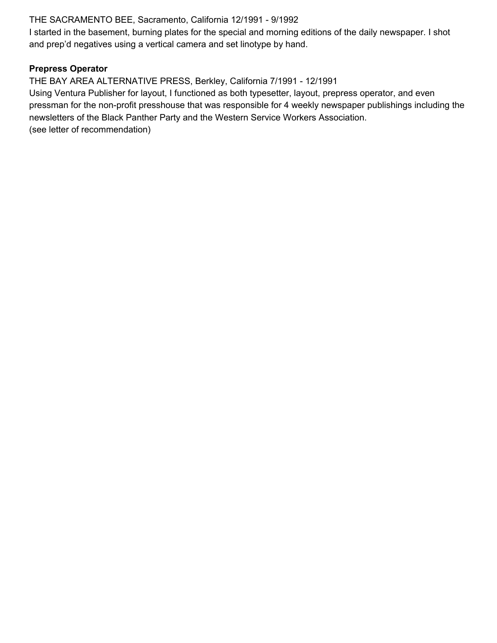## THE SACRAMENTO BEE, Sacramento, California 12/1991 - 9/1992

I started in the basement, burning plates for the special and morning editions of the daily newspaper. I shot and prep'd negatives using a vertical camera and set linotype by hand.

### **Prepress Operator**

THE BAY AREA ALTERNATIVE PRESS, Berkley, California 7/1991 - 12/1991 Using Ventura Publisher for layout, I functioned as both typesetter, layout, prepress operator, and even pressman for the non-profit presshouse that was responsible for 4 weekly newspaper publishings including the newsletters of the Black Panther Party and the Western Service Workers Association. (see letter of recommendation)